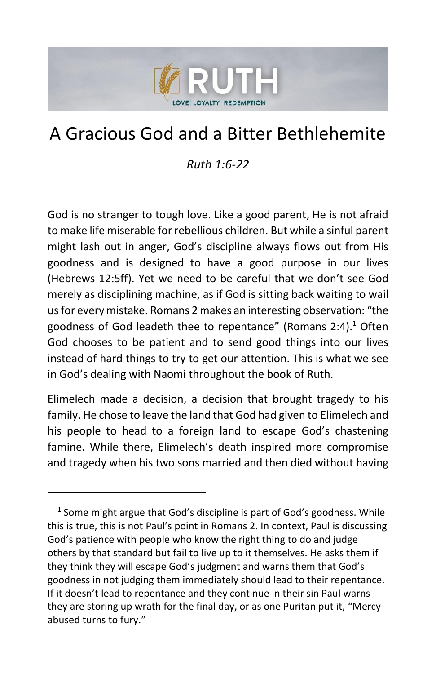

# A Gracious God and a Bitter Bethlehemite

#### *Ruth 1:6-22*

God is no stranger to tough love. Like a good parent, He is not afraid to make life miserable for rebellious children. But while a sinful parent might lash out in anger, God's discipline always flows out from His goodness and is designed to have a good purpose in our lives (Hebrews 12:5ff). Yet we need to be careful that we don't see God merely as disciplining machine, as if God is sitting back waiting to wail us for every mistake. Romans 2 makes an interesting observation: "the goodness of God leadeth thee to repentance" (Romans 2:4). <sup>1</sup> Often God chooses to be patient and to send good things into our lives instead of hard things to try to get our attention. This is what we see in God's dealing with Naomi throughout the book of Ruth.

Elimelech made a decision, a decision that brought tragedy to his family. He chose to leave the land that God had given to Elimelech and his people to head to a foreign land to escape God's chastening famine. While there, Elimelech's death inspired more compromise and tragedy when his two sons married and then died without having

 $<sup>1</sup>$  Some might argue that God's discipline is part of God's goodness. While</sup> this is true, this is not Paul's point in Romans 2. In context, Paul is discussing God's patience with people who know the right thing to do and judge others by that standard but fail to live up to it themselves. He asks them if they think they will escape God's judgment and warns them that God's goodness in not judging them immediately should lead to their repentance. If it doesn't lead to repentance and they continue in their sin Paul warns they are storing up wrath for the final day, or as one Puritan put it, "Mercy abused turns to fury."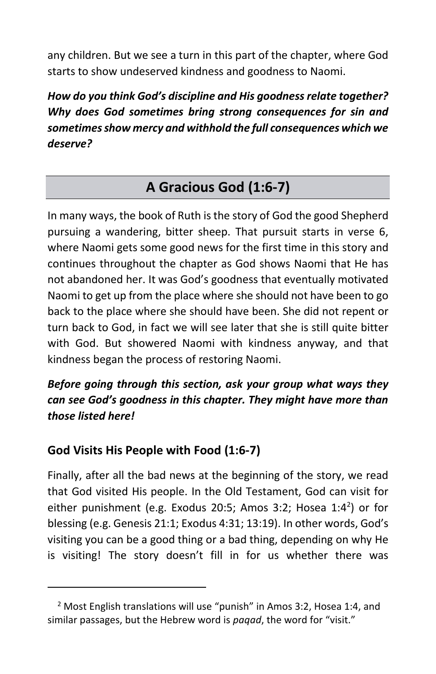any children. But we see a turn in this part of the chapter, where God starts to show undeserved kindness and goodness to Naomi.

*How do you think God's discipline and His goodness relate together? Why does God sometimes bring strong consequences for sin and sometimes show mercy and withhold the full consequences which we deserve?*

# **A Gracious God (1:6-7)**

In many ways, the book of Ruth is the story of God the good Shepherd pursuing a wandering, bitter sheep. That pursuit starts in verse 6, where Naomi gets some good news for the first time in this story and continues throughout the chapter as God shows Naomi that He has not abandoned her. It was God's goodness that eventually motivated Naomi to get up from the place where she should not have been to go back to the place where she should have been. She did not repent or turn back to God, in fact we will see later that she is still quite bitter with God. But showered Naomi with kindness anyway, and that kindness began the process of restoring Naomi.

### *Before going through this section, ask your group what ways they can see God's goodness in this chapter. They might have more than those listed here!*

### **God Visits His People with Food (1:6-7)**

Finally, after all the bad news at the beginning of the story, we read that God visited His people. In the Old Testament, God can visit for either punishment (e.g. Exodus 20:5; Amos 3:2; Hosea 1:4<sup>2</sup>) or for blessing (e.g. Genesis 21:1; Exodus 4:31; 13:19). In other words, God's visiting you can be a good thing or a bad thing, depending on why He is visiting! The story doesn't fill in for us whether there was

<sup>&</sup>lt;sup>2</sup> Most English translations will use "punish" in Amos 3:2, Hosea 1:4, and similar passages, but the Hebrew word is *paqad*, the word for "visit."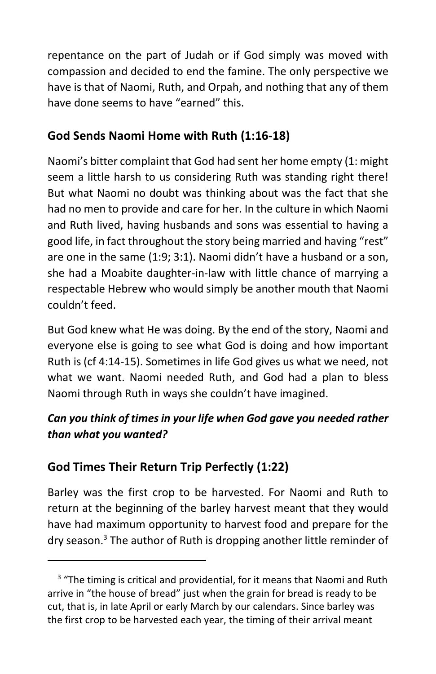repentance on the part of Judah or if God simply was moved with compassion and decided to end the famine. The only perspective we have is that of Naomi, Ruth, and Orpah, and nothing that any of them have done seems to have "earned" this.

### **God Sends Naomi Home with Ruth (1:16-18)**

Naomi's bitter complaint that God had sent her home empty (1: might seem a little harsh to us considering Ruth was standing right there! But what Naomi no doubt was thinking about was the fact that she had no men to provide and care for her. In the culture in which Naomi and Ruth lived, having husbands and sons was essential to having a good life, in fact throughout the story being married and having "rest" are one in the same (1:9; 3:1). Naomi didn't have a husband or a son, she had a Moabite daughter-in-law with little chance of marrying a respectable Hebrew who would simply be another mouth that Naomi couldn't feed.

But God knew what He was doing. By the end of the story, Naomi and everyone else is going to see what God is doing and how important Ruth is (cf 4:14-15). Sometimes in life God gives us what we need, not what we want. Naomi needed Ruth, and God had a plan to bless Naomi through Ruth in ways she couldn't have imagined.

### *Can you think of times in your life when God gave you needed rather than what you wanted?*

### **God Times Their Return Trip Perfectly (1:22)**

Barley was the first crop to be harvested. For Naomi and Ruth to return at the beginning of the barley harvest meant that they would have had maximum opportunity to harvest food and prepare for the dry season.<sup>3</sup> The author of Ruth is dropping another little reminder of

<sup>&</sup>lt;sup>3</sup> "The timing is critical and providential, for it means that Naomi and Ruth arrive in "the house of bread" just when the grain for bread is ready to be cut, that is, in late April or early March by our calendars. Since barley was the first crop to be harvested each year, the timing of their arrival meant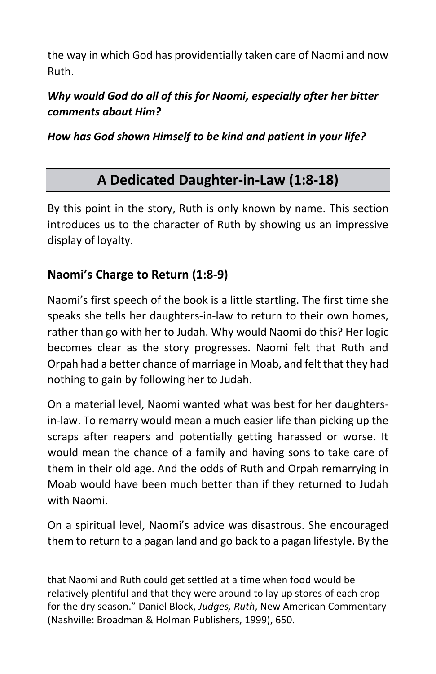the way in which God has providentially taken care of Naomi and now Ruth.

*Why would God do all of this for Naomi, especially after her bitter comments about Him?*

*How has God shown Himself to be kind and patient in your life?*

## **A Dedicated Daughter-in-Law (1:8-18)**

By this point in the story, Ruth is only known by name. This section introduces us to the character of Ruth by showing us an impressive display of loyalty.

### **Naomi's Charge to Return (1:8-9)**

Naomi's first speech of the book is a little startling. The first time she speaks she tells her daughters-in-law to return to their own homes, rather than go with her to Judah. Why would Naomi do this? Her logic becomes clear as the story progresses. Naomi felt that Ruth and Orpah had a better chance of marriage in Moab, and felt that they had nothing to gain by following her to Judah.

On a material level, Naomi wanted what was best for her daughtersin-law. To remarry would mean a much easier life than picking up the scraps after reapers and potentially getting harassed or worse. It would mean the chance of a family and having sons to take care of them in their old age. And the odds of Ruth and Orpah remarrying in Moab would have been much better than if they returned to Judah with Naomi.

On a spiritual level, Naomi's advice was disastrous. She encouraged them to return to a pagan land and go back to a pagan lifestyle. By the

that Naomi and Ruth could get settled at a time when food would be relatively plentiful and that they were around to lay up stores of each crop for the dry season." Daniel Block, *Judges, Ruth*, New American Commentary (Nashville: Broadman & Holman Publishers, 1999), 650.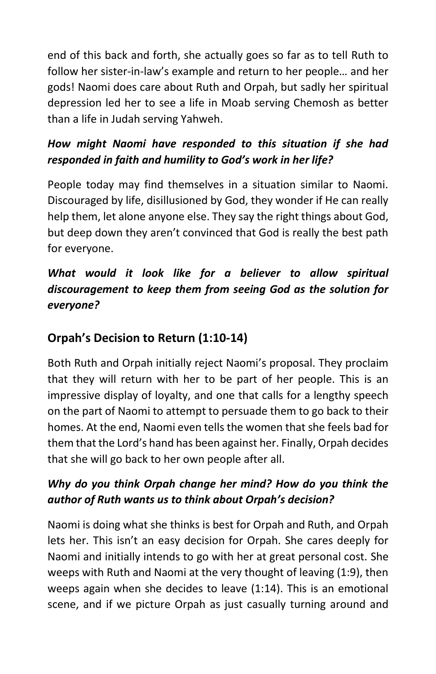end of this back and forth, she actually goes so far as to tell Ruth to follow her sister-in-law's example and return to her people… and her gods! Naomi does care about Ruth and Orpah, but sadly her spiritual depression led her to see a life in Moab serving Chemosh as better than a life in Judah serving Yahweh.

### *How might Naomi have responded to this situation if she had responded in faith and humility to God's work in her life?*

People today may find themselves in a situation similar to Naomi. Discouraged by life, disillusioned by God, they wonder if He can really help them, let alone anyone else. They say the right things about God, but deep down they aren't convinced that God is really the best path for everyone.

### *What would it look like for a believer to allow spiritual discouragement to keep them from seeing God as the solution for everyone?*

### **Orpah's Decision to Return (1:10-14)**

Both Ruth and Orpah initially reject Naomi's proposal. They proclaim that they will return with her to be part of her people. This is an impressive display of loyalty, and one that calls for a lengthy speech on the part of Naomi to attempt to persuade them to go back to their homes. At the end, Naomi even tells the women that she feels bad for them that the Lord's hand has been against her. Finally, Orpah decides that she will go back to her own people after all.

### *Why do you think Orpah change her mind? How do you think the author of Ruth wants us to think about Orpah's decision?*

Naomi is doing what she thinks is best for Orpah and Ruth, and Orpah lets her. This isn't an easy decision for Orpah. She cares deeply for Naomi and initially intends to go with her at great personal cost. She weeps with Ruth and Naomi at the very thought of leaving (1:9), then weeps again when she decides to leave (1:14). This is an emotional scene, and if we picture Orpah as just casually turning around and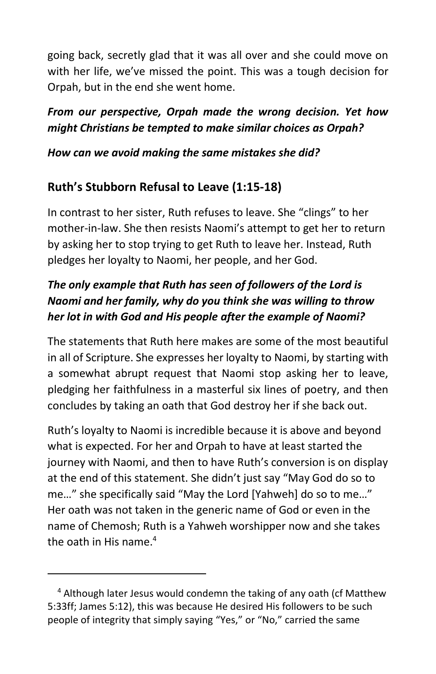going back, secretly glad that it was all over and she could move on with her life, we've missed the point. This was a tough decision for Orpah, but in the end she went home.

### *From our perspective, Orpah made the wrong decision. Yet how might Christians be tempted to make similar choices as Orpah?*

#### *How can we avoid making the same mistakes she did?*

### **Ruth's Stubborn Refusal to Leave (1:15-18)**

In contrast to her sister, Ruth refuses to leave. She "clings" to her mother-in-law. She then resists Naomi's attempt to get her to return by asking her to stop trying to get Ruth to leave her. Instead, Ruth pledges her loyalty to Naomi, her people, and her God.

### *The only example that Ruth has seen of followers of the Lord is Naomi and her family, why do you think she was willing to throw her lot in with God and His people after the example of Naomi?*

The statements that Ruth here makes are some of the most beautiful in all of Scripture. She expresses her loyalty to Naomi, by starting with a somewhat abrupt request that Naomi stop asking her to leave, pledging her faithfulness in a masterful six lines of poetry, and then concludes by taking an oath that God destroy her if she back out.

Ruth's loyalty to Naomi is incredible because it is above and beyond what is expected. For her and Orpah to have at least started the journey with Naomi, and then to have Ruth's conversion is on display at the end of this statement. She didn't just say "May God do so to me…" she specifically said "May the Lord [Yahweh] do so to me…" Her oath was not taken in the generic name of God or even in the name of Chemosh; Ruth is a Yahweh worshipper now and she takes the oath in His name. $4$ 

<sup>&</sup>lt;sup>4</sup> Although later Jesus would condemn the taking of any oath (cf Matthew 5:33ff; James 5:12), this was because He desired His followers to be such people of integrity that simply saying "Yes," or "No," carried the same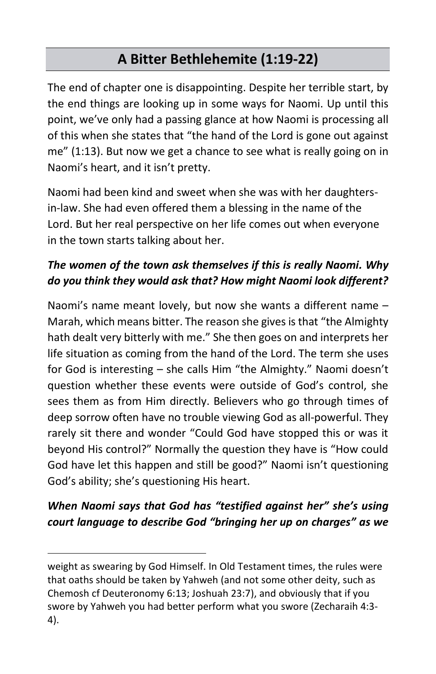# **A Bitter Bethlehemite (1:19-22)**

The end of chapter one is disappointing. Despite her terrible start, by the end things are looking up in some ways for Naomi. Up until this point, we've only had a passing glance at how Naomi is processing all of this when she states that "the hand of the Lord is gone out against me" (1:13). But now we get a chance to see what is really going on in Naomi's heart, and it isn't pretty.

Naomi had been kind and sweet when she was with her daughtersin-law. She had even offered them a blessing in the name of the Lord. But her real perspective on her life comes out when everyone in the town starts talking about her.

### *The women of the town ask themselves if this is really Naomi. Why do you think they would ask that? How might Naomi look different?*

Naomi's name meant lovely, but now she wants a different name – Marah, which means bitter. The reason she gives is that "the Almighty hath dealt very bitterly with me." She then goes on and interprets her life situation as coming from the hand of the Lord. The term she uses for God is interesting – she calls Him "the Almighty." Naomi doesn't question whether these events were outside of God's control, she sees them as from Him directly. Believers who go through times of deep sorrow often have no trouble viewing God as all-powerful. They rarely sit there and wonder "Could God have stopped this or was it beyond His control?" Normally the question they have is "How could God have let this happen and still be good?" Naomi isn't questioning God's ability; she's questioning His heart.

### *When Naomi says that God has "testified against her" she's using court language to describe God "bringing her up on charges" as we*

weight as swearing by God Himself. In Old Testament times, the rules were that oaths should be taken by Yahweh (and not some other deity, such as Chemosh cf Deuteronomy 6:13; Joshuah 23:7), and obviously that if you swore by Yahweh you had better perform what you swore (Zecharaih 4:3- 4).